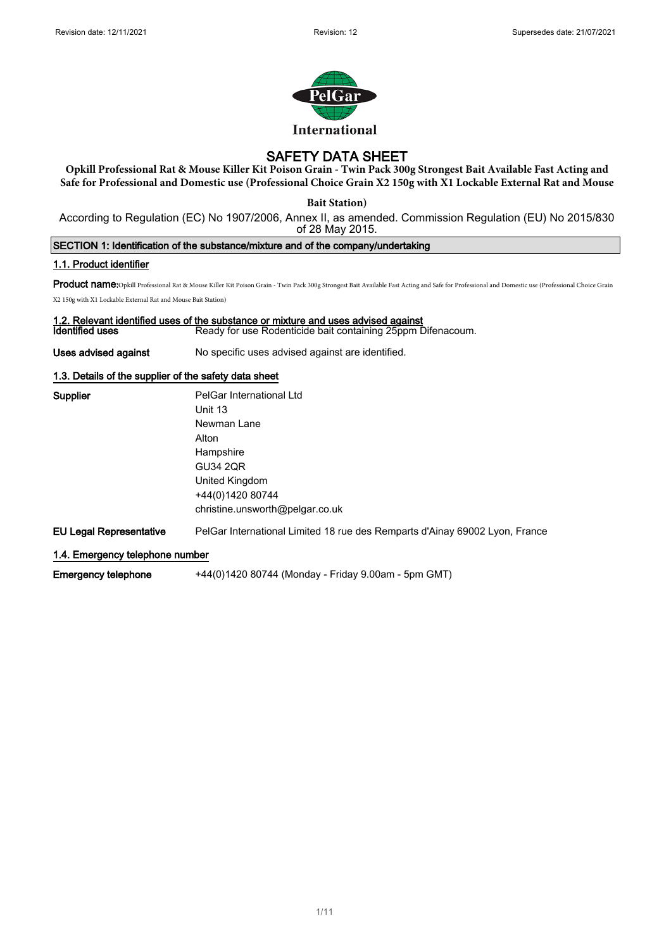

# SAFETY DATA SHEET

**Opkill Professional Rat & Mouse Killer Kit Poison Grain - Twin Pack 300g Strongest Bait Available Fast Acting and Safe for Professional and Domestic use (Professional Choice Grain X2 150g with X1 Lockable External Rat and Mouse** 

**Bait Station)** 

According to Regulation (EC) No 1907/2006, Annex II, as amended. Commission Regulation (EU) No 2015/830 of 28 May 2015.

SECTION 1: Identification of the substance/mixture and of the company/undertaking

## 1.1. Product identifier

Product name:Opkill Professional Rat & Mouse Killer Kit Poison Grain - Twin Pack 300g Strongest Bait Available Fast Acting and Safe for Professional and Domestic use (Professional Choice Grain

X2 150g with X1 Lockable External Rat and Mouse Bait Station)

## 1.2. Relevant identified uses of the substance or mixture and uses advised against

**Identified uses Ready for use Rodenticide bait containing 25ppm Difenacoum.** 

Uses advised against No specific uses advised against are identified.

## 1.3. Details of the supplier of the safety data sheet

| <b>Supplier</b>                 | PelGar International Ltd                                                    |
|---------------------------------|-----------------------------------------------------------------------------|
|                                 | Unit 13                                                                     |
|                                 | Newman Lane                                                                 |
|                                 | Alton                                                                       |
|                                 | Hampshire                                                                   |
|                                 | <b>GU34 2QR</b>                                                             |
|                                 | United Kingdom                                                              |
|                                 | +44(0)1420 80744                                                            |
|                                 | christine.unsworth@pelgar.co.uk                                             |
| EU Legal Representative         | PelGar International Limited 18 rue des Remparts d'Ainay 69002 Lyon, France |
| 1.4. Emergency telephone number |                                                                             |

Emergency telephone +44(0)1420 80744 (Monday - Friday 9.00am - 5pm GMT)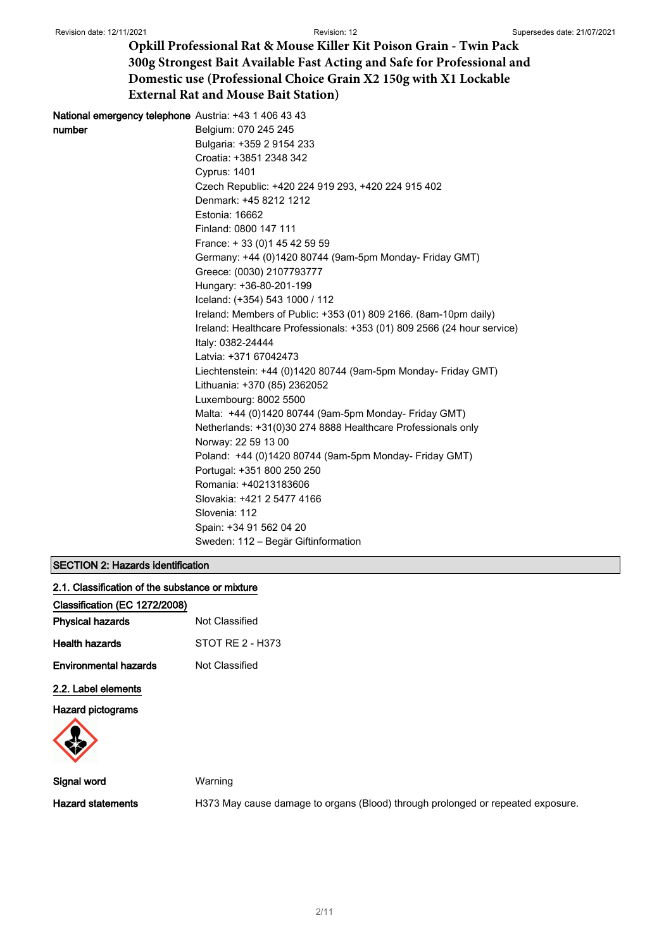| <b>National emergency telephone</b> Austria: +43 1 406 43 43            |
|-------------------------------------------------------------------------|
| Belgium: 070 245 245                                                    |
| Bulgaria: +359 2 9154 233                                               |
| Croatia: +3851 2348 342                                                 |
| <b>Cyprus: 1401</b>                                                     |
| Czech Republic: +420 224 919 293, +420 224 915 402                      |
| Denmark: +45 8212 1212                                                  |
| Estonia: 16662                                                          |
| Finland: 0800 147 111                                                   |
| France: +33 (0) 145 42 59 59                                            |
| Germany: +44 (0)1420 80744 (9am-5pm Monday- Friday GMT)                 |
| Greece: (0030) 2107793777                                               |
| Hungary: +36-80-201-199                                                 |
| Iceland: (+354) 543 1000 / 112                                          |
| Ireland: Members of Public: +353 (01) 809 2166. (8am-10pm daily)        |
| Ireland: Healthcare Professionals: +353 (01) 809 2566 (24 hour service) |
| Italy: 0382-24444                                                       |
| Latvia: +371 67042473                                                   |
| Liechtenstein: +44 (0)1420 80744 (9am-5pm Monday- Friday GMT)           |
| Lithuania: +370 (85) 2362052                                            |
| Luxembourg: 8002 5500                                                   |
| Malta: +44 (0)1420 80744 (9am-5pm Monday- Friday GMT)                   |
| Netherlands: +31(0)30 274 8888 Healthcare Professionals only            |
| Norway: 22 59 13 00                                                     |
| Poland: +44 (0)1420 80744 (9am-5pm Monday- Friday GMT)                  |
| Portugal: +351 800 250 250                                              |
| Romania: +40213183606                                                   |
| Slovakia: +421 2 5477 4166                                              |
| Slovenia: 112                                                           |
| Spain: +34 91 562 04 20                                                 |
| Sweden: 112 – Begär Giftinformation                                     |
|                                                                         |

## SECTION 2: Hazards identification

|  |  | 2.1. Classification of the substance or mixture |  |  |  |  |  |
|--|--|-------------------------------------------------|--|--|--|--|--|
|--|--|-------------------------------------------------|--|--|--|--|--|

| Classification (EC 1272/2008) |                  |
|-------------------------------|------------------|
| <b>Physical hazards</b>       | Not Classified   |
| Health hazards                | STOT RE 2 - H373 |
| <b>Environmental hazards</b>  | Not Classified   |
| 2.2. Label elements           |                  |

Hazard pictograms



Signal word Warning

Hazard statements **H373 May cause damage to organs (Blood)** through prolonged or repeated exposure.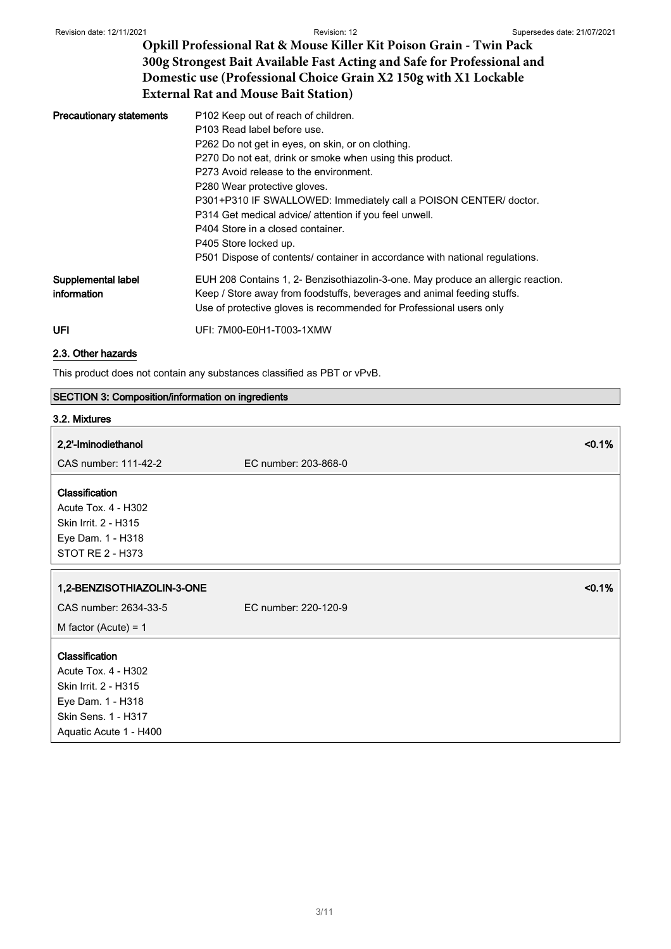| <b>Precautionary statements</b>   | P <sub>102</sub> Keep out of reach of children.                                                                                                                                                                                    |  |  |
|-----------------------------------|------------------------------------------------------------------------------------------------------------------------------------------------------------------------------------------------------------------------------------|--|--|
|                                   | P103 Read label before use.                                                                                                                                                                                                        |  |  |
|                                   | P262 Do not get in eyes, on skin, or on clothing.                                                                                                                                                                                  |  |  |
|                                   | P270 Do not eat, drink or smoke when using this product.                                                                                                                                                                           |  |  |
|                                   | P273 Avoid release to the environment.                                                                                                                                                                                             |  |  |
|                                   | P280 Wear protective gloves.                                                                                                                                                                                                       |  |  |
|                                   | P301+P310 IF SWALLOWED: Immediately call a POISON CENTER/ doctor.                                                                                                                                                                  |  |  |
|                                   | P314 Get medical advice/ attention if you feel unwell.                                                                                                                                                                             |  |  |
|                                   | P404 Store in a closed container.                                                                                                                                                                                                  |  |  |
|                                   | P405 Store locked up.                                                                                                                                                                                                              |  |  |
|                                   | P501 Dispose of contents/ container in accordance with national regulations.                                                                                                                                                       |  |  |
| Supplemental label<br>information | EUH 208 Contains 1, 2- Benzisothiazolin-3-one. May produce an allergic reaction.<br>Keep / Store away from foodstuffs, beverages and animal feeding stuffs.<br>Use of protective gloves is recommended for Professional users only |  |  |
| UFI                               | UFI: 7M00-E0H1-T003-1XMW                                                                                                                                                                                                           |  |  |

## 2.3. Other hazards

This product does not contain any substances classified as PBT or vPvB.

## SECTION 3: Composition/information on ingredients

| 3.2. Mixtures                                                                                                 |                                |
|---------------------------------------------------------------------------------------------------------------|--------------------------------|
| 2,2'-Iminodiethanol<br>CAS number: 111-42-2                                                                   | < 0.1%<br>EC number: 203-868-0 |
| Classification<br>Acute Tox. 4 - H302<br>Skin Irrit. 2 - H315<br>Eye Dam. 1 - H318<br><b>STOT RE 2 - H373</b> |                                |
| 1,2-BENZISOTHIAZOLIN-3-ONE                                                                                    |                                |
|                                                                                                               | < 0.1%                         |
| CAS number: 2634-33-5                                                                                         | EC number: 220-120-9           |
| M factor (Acute) = $1$                                                                                        |                                |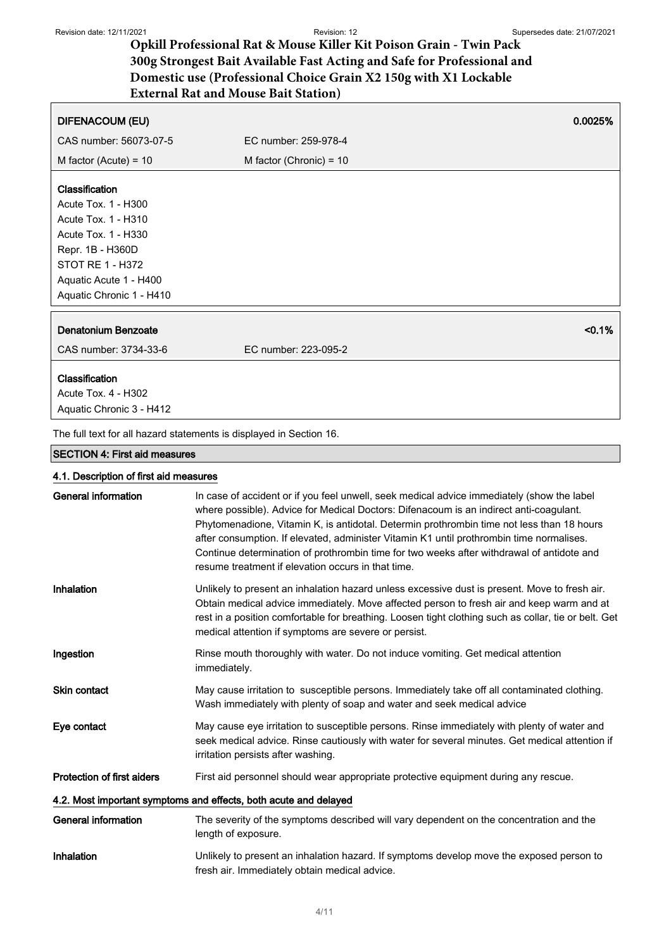| <b>DIFENACOUM (EU)</b>                                              |                           | 0.0025%   |
|---------------------------------------------------------------------|---------------------------|-----------|
| CAS number: 56073-07-5                                              | EC number: 259-978-4      |           |
| M factor (Acute) = $10$                                             | M factor (Chronic) = $10$ |           |
|                                                                     |                           |           |
| <b>Classification</b>                                               |                           |           |
| Acute Tox. 1 - H300                                                 |                           |           |
| Acute Tox. 1 - H310                                                 |                           |           |
| Acute Tox. 1 - H330                                                 |                           |           |
| Repr. 1B - H360D                                                    |                           |           |
| <b>STOT RE 1 - H372</b>                                             |                           |           |
| Aquatic Acute 1 - H400                                              |                           |           |
| Aquatic Chronic 1 - H410                                            |                           |           |
|                                                                     |                           |           |
| Denatonium Benzoate                                                 |                           | $< 0.1\%$ |
| CAS number: 3734-33-6                                               | EC number: 223-095-2      |           |
| Classification                                                      |                           |           |
| Acute Tox. 4 - H302                                                 |                           |           |
|                                                                     |                           |           |
| Aquatic Chronic 3 - H412                                            |                           |           |
| The full text for all hazard statements is displayed in Section 16. |                           |           |

## SECTION 4: First aid measures

## 4.1. Description of first aid measures

| General information               | In case of accident or if you feel unwell, seek medical advice immediately (show the label<br>where possible). Advice for Medical Doctors: Difenacoum is an indirect anti-coagulant.<br>Phytomenadione, Vitamin K, is antidotal. Determin prothrombin time not less than 18 hours<br>after consumption. If elevated, administer Vitamin K1 until prothrombin time normalises.<br>Continue determination of prothrombin time for two weeks after withdrawal of antidote and<br>resume treatment if elevation occurs in that time. |
|-----------------------------------|----------------------------------------------------------------------------------------------------------------------------------------------------------------------------------------------------------------------------------------------------------------------------------------------------------------------------------------------------------------------------------------------------------------------------------------------------------------------------------------------------------------------------------|
| Inhalation                        | Unlikely to present an inhalation hazard unless excessive dust is present. Move to fresh air.<br>Obtain medical advice immediately. Move affected person to fresh air and keep warm and at<br>rest in a position comfortable for breathing. Loosen tight clothing such as collar, tie or belt. Get<br>medical attention if symptoms are severe or persist.                                                                                                                                                                       |
| Ingestion                         | Rinse mouth thoroughly with water. Do not induce vomiting. Get medical attention<br>immediately.                                                                                                                                                                                                                                                                                                                                                                                                                                 |
| <b>Skin contact</b>               | May cause irritation to susceptible persons. Immediately take off all contaminated clothing.<br>Wash immediately with plenty of soap and water and seek medical advice                                                                                                                                                                                                                                                                                                                                                           |
| Eye contact                       | May cause eye irritation to susceptible persons. Rinse immediately with plenty of water and<br>seek medical advice. Rinse cautiously with water for several minutes. Get medical attention if<br>irritation persists after washing.                                                                                                                                                                                                                                                                                              |
| <b>Protection of first aiders</b> | First aid personnel should wear appropriate protective equipment during any rescue.                                                                                                                                                                                                                                                                                                                                                                                                                                              |
|                                   | 4.2. Most important symptoms and effects, both acute and delayed                                                                                                                                                                                                                                                                                                                                                                                                                                                                 |
| <b>General information</b>        | The severity of the symptoms described will vary dependent on the concentration and the<br>length of exposure.                                                                                                                                                                                                                                                                                                                                                                                                                   |
| Inhalation                        | Unlikely to present an inhalation hazard. If symptoms develop move the exposed person to<br>fresh air. Immediately obtain medical advice.                                                                                                                                                                                                                                                                                                                                                                                        |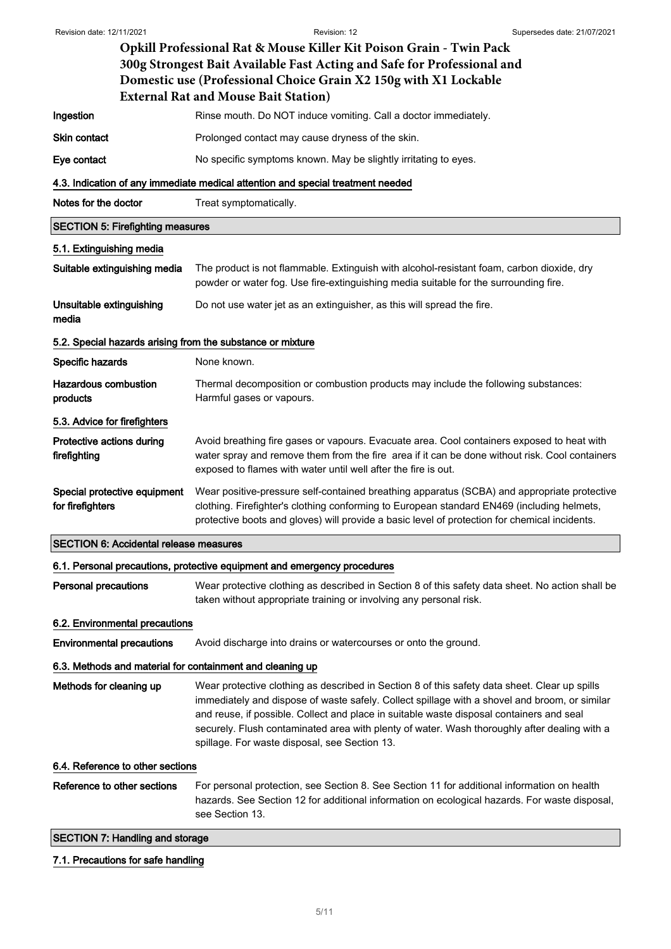| Revision date: 12/11/2021                                                | Revision: 12<br>Supersedes date: 21/07/2021                                                                                                                                                                                                                                                                                                                                                                                                 |  |  |
|--------------------------------------------------------------------------|---------------------------------------------------------------------------------------------------------------------------------------------------------------------------------------------------------------------------------------------------------------------------------------------------------------------------------------------------------------------------------------------------------------------------------------------|--|--|
|                                                                          | Opkill Professional Rat & Mouse Killer Kit Poison Grain - Twin Pack<br>300g Strongest Bait Available Fast Acting and Safe for Professional and<br>Domestic use (Professional Choice Grain X2 150g with X1 Lockable<br><b>External Rat and Mouse Bait Station)</b>                                                                                                                                                                           |  |  |
| Ingestion                                                                | Rinse mouth. Do NOT induce vomiting. Call a doctor immediately.                                                                                                                                                                                                                                                                                                                                                                             |  |  |
| <b>Skin contact</b>                                                      | Prolonged contact may cause dryness of the skin.                                                                                                                                                                                                                                                                                                                                                                                            |  |  |
| Eye contact                                                              | No specific symptoms known. May be slightly irritating to eyes.                                                                                                                                                                                                                                                                                                                                                                             |  |  |
|                                                                          | 4.3. Indication of any immediate medical attention and special treatment needed                                                                                                                                                                                                                                                                                                                                                             |  |  |
| Notes for the doctor                                                     | Treat symptomatically.                                                                                                                                                                                                                                                                                                                                                                                                                      |  |  |
| <b>SECTION 5: Firefighting measures</b>                                  |                                                                                                                                                                                                                                                                                                                                                                                                                                             |  |  |
| 5.1. Extinguishing media                                                 |                                                                                                                                                                                                                                                                                                                                                                                                                                             |  |  |
| Suitable extinguishing media                                             | The product is not flammable. Extinguish with alcohol-resistant foam, carbon dioxide, dry<br>powder or water fog. Use fire-extinguishing media suitable for the surrounding fire.                                                                                                                                                                                                                                                           |  |  |
| Unsuitable extinguishing<br>media                                        | Do not use water jet as an extinguisher, as this will spread the fire.                                                                                                                                                                                                                                                                                                                                                                      |  |  |
|                                                                          | 5.2. Special hazards arising from the substance or mixture                                                                                                                                                                                                                                                                                                                                                                                  |  |  |
| Specific hazards                                                         | None known.                                                                                                                                                                                                                                                                                                                                                                                                                                 |  |  |
| <b>Hazardous combustion</b><br>products                                  | Thermal decomposition or combustion products may include the following substances:<br>Harmful gases or vapours.                                                                                                                                                                                                                                                                                                                             |  |  |
| 5.3. Advice for firefighters                                             |                                                                                                                                                                                                                                                                                                                                                                                                                                             |  |  |
| Protective actions during<br>firefighting                                | Avoid breathing fire gases or vapours. Evacuate area. Cool containers exposed to heat with<br>water spray and remove them from the fire area if it can be done without risk. Cool containers<br>exposed to flames with water until well after the fire is out.                                                                                                                                                                              |  |  |
| Special protective equipment<br>for firefighters                         | Wear positive-pressure self-contained breathing apparatus (SCBA) and appropriate protective<br>clothing. Firefighter's clothing conforming to European standard EN469 (including helmets,<br>protective boots and gloves) will provide a basic level of protection for chemical incidents.                                                                                                                                                  |  |  |
| <b>SECTION 6: Accidental release measures</b>                            |                                                                                                                                                                                                                                                                                                                                                                                                                                             |  |  |
| 6.1. Personal precautions, protective equipment and emergency procedures |                                                                                                                                                                                                                                                                                                                                                                                                                                             |  |  |
| <b>Personal precautions</b>                                              | Wear protective clothing as described in Section 8 of this safety data sheet. No action shall be<br>taken without appropriate training or involving any personal risk.                                                                                                                                                                                                                                                                      |  |  |
| 6.2. Environmental precautions                                           |                                                                                                                                                                                                                                                                                                                                                                                                                                             |  |  |
| <b>Environmental precautions</b>                                         | Avoid discharge into drains or watercourses or onto the ground.                                                                                                                                                                                                                                                                                                                                                                             |  |  |
| 6.3. Methods and material for containment and cleaning up                |                                                                                                                                                                                                                                                                                                                                                                                                                                             |  |  |
| Methods for cleaning up                                                  | Wear protective clothing as described in Section 8 of this safety data sheet. Clear up spills<br>immediately and dispose of waste safely. Collect spillage with a shovel and broom, or similar<br>and reuse, if possible. Collect and place in suitable waste disposal containers and seal<br>securely. Flush contaminated area with plenty of water. Wash thoroughly after dealing with a<br>spillage. For waste disposal, see Section 13. |  |  |
| 6.4. Reference to other sections                                         |                                                                                                                                                                                                                                                                                                                                                                                                                                             |  |  |
| Reference to other sections                                              | For personal protection, see Section 8. See Section 11 for additional information on health<br>hazards. See Section 12 for additional information on ecological hazards. For waste disposal,<br>see Section 13.                                                                                                                                                                                                                             |  |  |
| <b>SECTION 7: Handling and storage</b>                                   |                                                                                                                                                                                                                                                                                                                                                                                                                                             |  |  |
|                                                                          |                                                                                                                                                                                                                                                                                                                                                                                                                                             |  |  |

# 7.1. Precautions for safe handling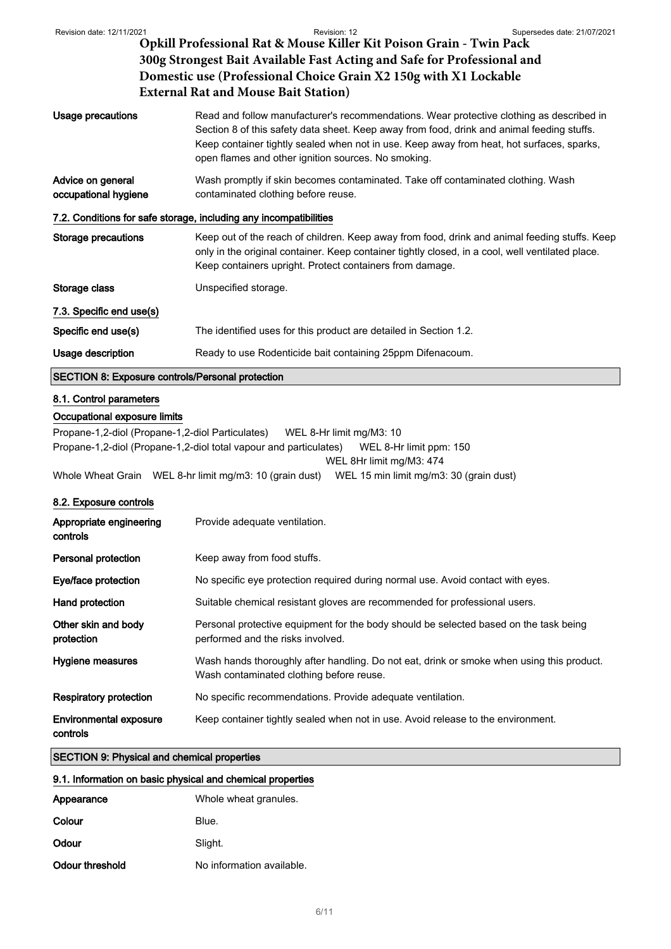|                                                                                                             | <b>External Rat and Mouse Bait Station</b> )                                                                                                                                                                                                                                                                                               |
|-------------------------------------------------------------------------------------------------------------|--------------------------------------------------------------------------------------------------------------------------------------------------------------------------------------------------------------------------------------------------------------------------------------------------------------------------------------------|
| <b>Usage precautions</b>                                                                                    | Read and follow manufacturer's recommendations. Wear protective clothing as described in<br>Section 8 of this safety data sheet. Keep away from food, drink and animal feeding stuffs.<br>Keep container tightly sealed when not in use. Keep away from heat, hot surfaces, sparks,<br>open flames and other ignition sources. No smoking. |
| Advice on general<br>occupational hygiene                                                                   | Wash promptly if skin becomes contaminated. Take off contaminated clothing. Wash<br>contaminated clothing before reuse.                                                                                                                                                                                                                    |
|                                                                                                             | 7.2. Conditions for safe storage, including any incompatibilities                                                                                                                                                                                                                                                                          |
| <b>Storage precautions</b>                                                                                  | Keep out of the reach of children. Keep away from food, drink and animal feeding stuffs. Keep<br>only in the original container. Keep container tightly closed, in a cool, well ventilated place.<br>Keep containers upright. Protect containers from damage.                                                                              |
| Storage class                                                                                               | Unspecified storage.                                                                                                                                                                                                                                                                                                                       |
| 7.3. Specific end use(s)                                                                                    |                                                                                                                                                                                                                                                                                                                                            |
| Specific end use(s)                                                                                         | The identified uses for this product are detailed in Section 1.2.                                                                                                                                                                                                                                                                          |
| Usage description                                                                                           | Ready to use Rodenticide bait containing 25ppm Difenacoum.                                                                                                                                                                                                                                                                                 |
| <b>SECTION 8: Exposure controls/Personal protection</b>                                                     |                                                                                                                                                                                                                                                                                                                                            |
| 8.1. Control parameters<br>Occupational exposure limits<br>Propane-1,2-diol (Propane-1,2-diol Particulates) | WEL 8-Hr limit mg/M3: 10                                                                                                                                                                                                                                                                                                                   |
|                                                                                                             | Propane-1,2-diol (Propane-1,2-diol total vapour and particulates)<br>WEL 8-Hr limit ppm: 150                                                                                                                                                                                                                                               |
|                                                                                                             | WEL 8Hr limit mg/M3: 474                                                                                                                                                                                                                                                                                                                   |
| Whole Wheat Grain WEL 8-hr limit mg/m3: 10 (grain dust)<br>WEL 15 min limit mg/m3: 30 (grain dust)          |                                                                                                                                                                                                                                                                                                                                            |
| 8.2. Exposure controls                                                                                      |                                                                                                                                                                                                                                                                                                                                            |
| Appropriate engineering<br>controls                                                                         | Provide adequate ventilation.                                                                                                                                                                                                                                                                                                              |
| Personal protection                                                                                         | Keep away from food stuffs.                                                                                                                                                                                                                                                                                                                |
| Eye/face protection                                                                                         | No specific eye protection required during normal use. Avoid contact with eyes.                                                                                                                                                                                                                                                            |
| Hand protection                                                                                             | Suitable chemical resistant gloves are recommended for professional users.                                                                                                                                                                                                                                                                 |
| Other skin and body<br>protection                                                                           | Personal protective equipment for the body should be selected based on the task being<br>performed and the risks involved.                                                                                                                                                                                                                 |

Respiratory protection No specific recommendations. Provide adequate ventilation.

Environmental exposure Keep container tightly sealed when not in use. Avoid release to the environment.

Wash contaminated clothing before reuse.

Hygiene measures Wash hands thoroughly after handling. Do not eat, drink or smoke when using this product.

controls

## SECTION 9: Physical and chemical properties

## 9.1. Information on basic physical and chemical properties

| Appearance      | Whole wheat granules.     |
|-----------------|---------------------------|
| Colour          | Blue.                     |
| Odour           | Slight.                   |
| Odour threshold | No information available. |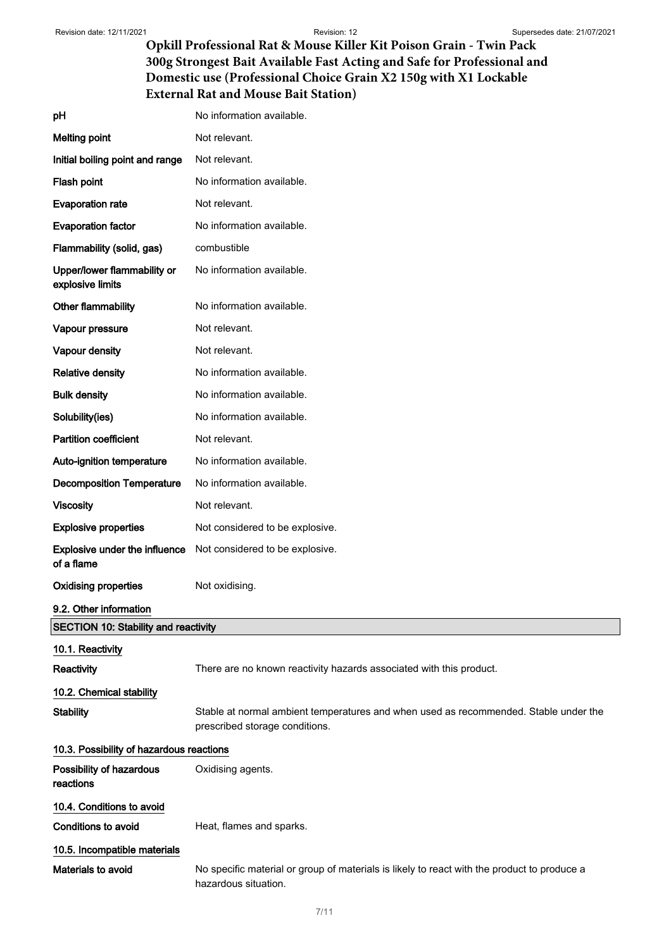| pH                                                 | No information available.                                                                                              |
|----------------------------------------------------|------------------------------------------------------------------------------------------------------------------------|
| <b>Melting point</b>                               | Not relevant.                                                                                                          |
| Initial boiling point and range                    | Not relevant.                                                                                                          |
| Flash point                                        | No information available.                                                                                              |
| <b>Evaporation rate</b>                            | Not relevant.                                                                                                          |
| <b>Evaporation factor</b>                          | No information available.                                                                                              |
| Flammability (solid, gas)                          | combustible                                                                                                            |
| Upper/lower flammability or<br>explosive limits    | No information available.                                                                                              |
| Other flammability                                 | No information available.                                                                                              |
| Vapour pressure                                    | Not relevant.                                                                                                          |
| Vapour density                                     | Not relevant.                                                                                                          |
| <b>Relative density</b>                            | No information available.                                                                                              |
| <b>Bulk density</b>                                | No information available.                                                                                              |
| Solubility(ies)                                    | No information available.                                                                                              |
| <b>Partition coefficient</b>                       | Not relevant.                                                                                                          |
| Auto-ignition temperature                          | No information available.                                                                                              |
| <b>Decomposition Temperature</b>                   | No information available.                                                                                              |
| <b>Viscosity</b>                                   | Not relevant.                                                                                                          |
| <b>Explosive properties</b>                        | Not considered to be explosive.                                                                                        |
| <b>Explosive under the influence</b><br>of a flame | Not considered to be explosive.                                                                                        |
| <b>Oxidising properties</b>                        | Not oxidising.                                                                                                         |
| 9.2. Other information                             |                                                                                                                        |
| <b>SECTION 10: Stability and reactivity</b>        |                                                                                                                        |
| 10.1. Reactivity                                   |                                                                                                                        |
| Reactivity                                         | There are no known reactivity hazards associated with this product.                                                    |
| 10.2. Chemical stability                           |                                                                                                                        |
| <b>Stability</b>                                   | Stable at normal ambient temperatures and when used as recommended. Stable under the<br>prescribed storage conditions. |
| 10.3. Possibility of hazardous reactions           |                                                                                                                        |
| Possibility of hazardous<br>reactions              | Oxidising agents.                                                                                                      |
| 10.4. Conditions to avoid                          |                                                                                                                        |
| <b>Conditions to avoid</b>                         | Heat, flames and sparks.                                                                                               |
| 10.5. Incompatible materials                       |                                                                                                                        |
| Materials to avoid                                 | No specific material or group of materials is likely to react with the product to produce a<br>hazardous situation.    |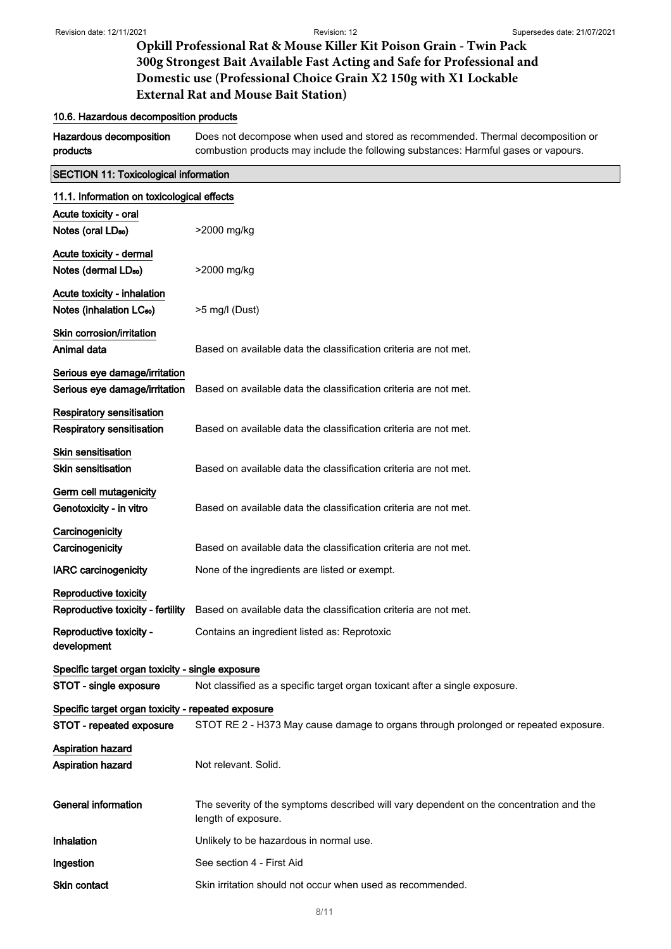## 10.6. Hazardous decomposition products

Hazardous decomposition products Does not decompose when used and stored as recommended. Thermal decomposition or combustion products may include the following substances: Harmful gases or vapours.

| <b>SECTION 11: Toxicological information</b>                         |                                                                                                                |  |
|----------------------------------------------------------------------|----------------------------------------------------------------------------------------------------------------|--|
| 11.1. Information on toxicological effects                           |                                                                                                                |  |
| Acute toxicity - oral                                                |                                                                                                                |  |
| Notes (oral LD <sub>50</sub> )                                       | >2000 mg/kg                                                                                                    |  |
| Acute toxicity - dermal                                              |                                                                                                                |  |
| Notes (dermal LD <sub>50</sub> )                                     | >2000 mg/kg                                                                                                    |  |
| Acute toxicity - inhalation<br>Notes (inhalation LC <sub>50</sub> )  | $>5$ mg/l (Dust)                                                                                               |  |
| Skin corrosion/irritation<br>Animal data                             | Based on available data the classification criteria are not met.                                               |  |
| Serious eye damage/irritation<br>Serious eye damage/irritation       | Based on available data the classification criteria are not met.                                               |  |
| <b>Respiratory sensitisation</b><br><b>Respiratory sensitisation</b> | Based on available data the classification criteria are not met.                                               |  |
| <b>Skin sensitisation</b><br><b>Skin sensitisation</b>               | Based on available data the classification criteria are not met.                                               |  |
| Germ cell mutagenicity<br>Genotoxicity - in vitro                    | Based on available data the classification criteria are not met.                                               |  |
| Carcinogenicity<br>Carcinogenicity                                   | Based on available data the classification criteria are not met.                                               |  |
| <b>IARC</b> carcinogenicity                                          | None of the ingredients are listed or exempt.                                                                  |  |
| Reproductive toxicity                                                |                                                                                                                |  |
| Reproductive toxicity - fertility                                    | Based on available data the classification criteria are not met.                                               |  |
| Reproductive toxicity -<br>development                               | Contains an ingredient listed as: Reprotoxic                                                                   |  |
| Specific target organ toxicity - single exposure                     |                                                                                                                |  |
| STOT - single exposure                                               | Not classified as a specific target organ toxicant after a single exposure.                                    |  |
| Specific target organ toxicity - repeated exposure                   |                                                                                                                |  |
| STOT - repeated exposure                                             | STOT RE 2 - H373 May cause damage to organs through prolonged or repeated exposure.                            |  |
| <b>Aspiration hazard</b>                                             |                                                                                                                |  |
| <b>Aspiration hazard</b>                                             | Not relevant. Solid.                                                                                           |  |
| <b>General information</b>                                           | The severity of the symptoms described will vary dependent on the concentration and the<br>length of exposure. |  |
| Inhalation                                                           | Unlikely to be hazardous in normal use.                                                                        |  |
| Ingestion                                                            | See section 4 - First Aid                                                                                      |  |
| Skin contact                                                         | Skin irritation should not occur when used as recommended.                                                     |  |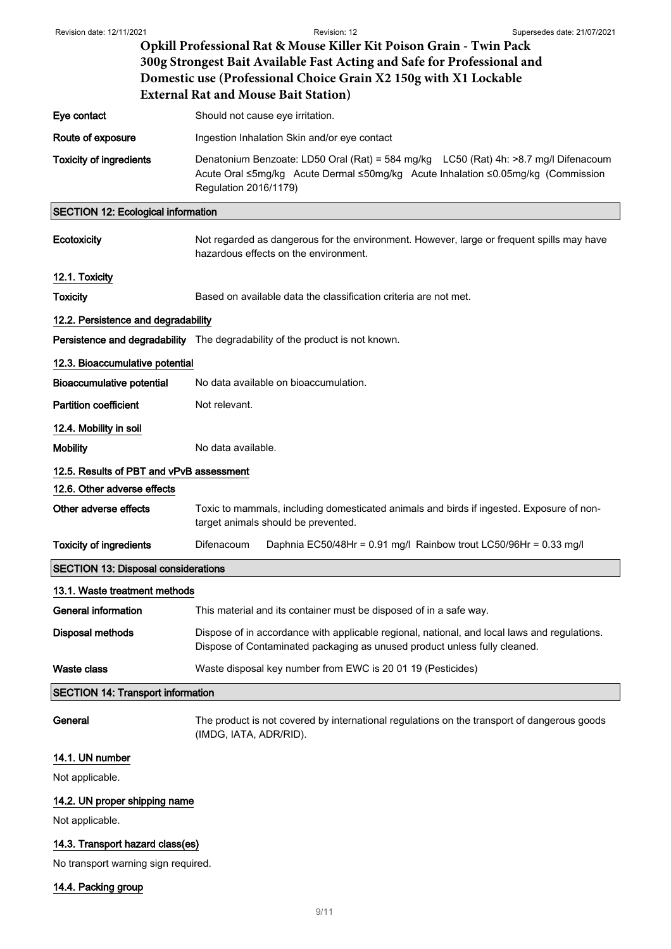| Revision date: 12/11/2021                                                                                                                   | Revision: 12<br>Supersedes date: 21/07/2021                                                                                                                                                       |  |  |
|---------------------------------------------------------------------------------------------------------------------------------------------|---------------------------------------------------------------------------------------------------------------------------------------------------------------------------------------------------|--|--|
|                                                                                                                                             | Opkill Professional Rat & Mouse Killer Kit Poison Grain - Twin Pack                                                                                                                               |  |  |
| 300g Strongest Bait Available Fast Acting and Safe for Professional and<br>Domestic use (Professional Choice Grain X2 150g with X1 Lockable |                                                                                                                                                                                                   |  |  |
|                                                                                                                                             | <b>External Rat and Mouse Bait Station)</b>                                                                                                                                                       |  |  |
| Eye contact                                                                                                                                 | Should not cause eye irritation.                                                                                                                                                                  |  |  |
| Route of exposure                                                                                                                           | Ingestion Inhalation Skin and/or eye contact                                                                                                                                                      |  |  |
| <b>Toxicity of ingredients</b>                                                                                                              | Denatonium Benzoate: LD50 Oral (Rat) = 584 mg/kg LC50 (Rat) 4h: >8.7 mg/l Difenacoum<br>Acute Oral ≤5mg/kg Acute Dermal ≤50mg/kg Acute Inhalation ≤0.05mg/kg (Commission<br>Regulation 2016/1179) |  |  |
| <b>SECTION 12: Ecological information</b>                                                                                                   |                                                                                                                                                                                                   |  |  |
| Ecotoxicity                                                                                                                                 | Not regarded as dangerous for the environment. However, large or frequent spills may have<br>hazardous effects on the environment.                                                                |  |  |
| 12.1. Toxicity                                                                                                                              |                                                                                                                                                                                                   |  |  |
| <b>Toxicity</b>                                                                                                                             | Based on available data the classification criteria are not met.                                                                                                                                  |  |  |
| 12.2. Persistence and degradability                                                                                                         |                                                                                                                                                                                                   |  |  |
|                                                                                                                                             | Persistence and degradability The degradability of the product is not known.                                                                                                                      |  |  |
| 12.3. Bioaccumulative potential                                                                                                             |                                                                                                                                                                                                   |  |  |
| Bioaccumulative potential                                                                                                                   | No data available on bioaccumulation.                                                                                                                                                             |  |  |
| <b>Partition coefficient</b>                                                                                                                | Not relevant.                                                                                                                                                                                     |  |  |
| 12.4. Mobility in soil                                                                                                                      |                                                                                                                                                                                                   |  |  |
| <b>Mobility</b>                                                                                                                             | No data available.                                                                                                                                                                                |  |  |
| 12.5. Results of PBT and vPvB assessment                                                                                                    |                                                                                                                                                                                                   |  |  |
| 12.6. Other adverse effects                                                                                                                 |                                                                                                                                                                                                   |  |  |
| Other adverse effects                                                                                                                       | Toxic to mammals, including domesticated animals and birds if ingested. Exposure of non-<br>target animals should be prevented.                                                                   |  |  |
| <b>Toxicity of ingredients</b>                                                                                                              | Difenacoum<br>Daphnia EC50/48Hr = 0.91 mg/l Rainbow trout LC50/96Hr = 0.33 mg/l                                                                                                                   |  |  |
| <b>SECTION 13: Disposal considerations</b>                                                                                                  |                                                                                                                                                                                                   |  |  |
| 13.1. Waste treatment methods                                                                                                               |                                                                                                                                                                                                   |  |  |
| <b>General information</b>                                                                                                                  | This material and its container must be disposed of in a safe way.                                                                                                                                |  |  |
| <b>Disposal methods</b>                                                                                                                     | Dispose of in accordance with applicable regional, national, and local laws and regulations.<br>Dispose of Contaminated packaging as unused product unless fully cleaned.                         |  |  |
| <b>Waste class</b>                                                                                                                          | Waste disposal key number from EWC is 20 01 19 (Pesticides)                                                                                                                                       |  |  |
| <b>SECTION 14: Transport information</b>                                                                                                    |                                                                                                                                                                                                   |  |  |
| General                                                                                                                                     | The product is not covered by international regulations on the transport of dangerous goods<br>(IMDG, IATA, ADR/RID).                                                                             |  |  |
| 14.1. UN number                                                                                                                             |                                                                                                                                                                                                   |  |  |
| Not applicable.                                                                                                                             |                                                                                                                                                                                                   |  |  |
| 14.2. UN proper shipping name                                                                                                               |                                                                                                                                                                                                   |  |  |
| Not applicable.                                                                                                                             |                                                                                                                                                                                                   |  |  |
| 14.3. Transport hazard class(es)                                                                                                            |                                                                                                                                                                                                   |  |  |
| No transport warning sign required.                                                                                                         |                                                                                                                                                                                                   |  |  |

# 14.4. Packing group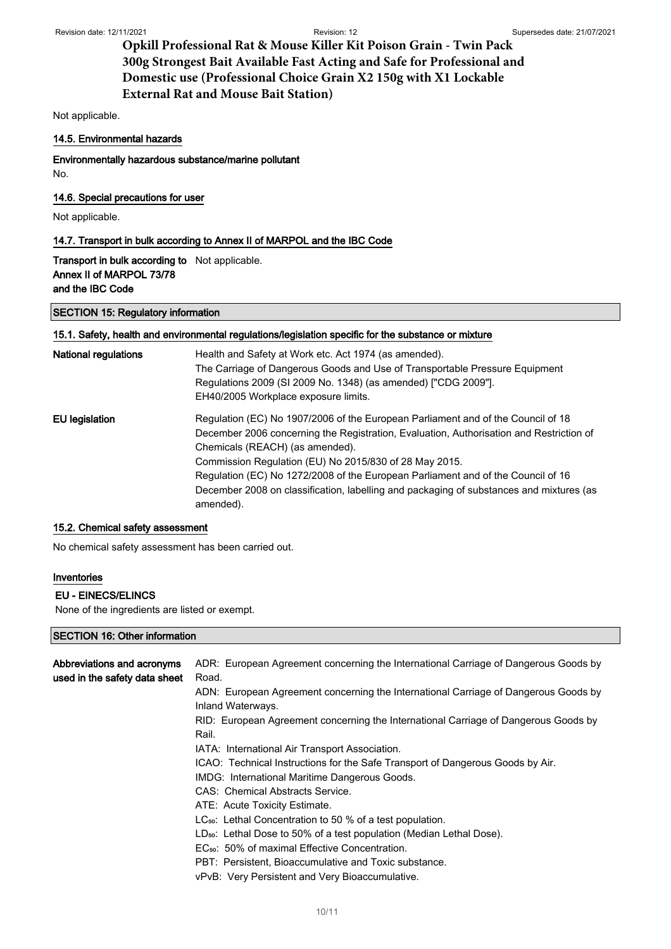Not applicable.

### 14.5. Environmental hazards

Environmentally hazardous substance/marine pollutant

No.

14.6. Special precautions for user

Not applicable.

### 14.7. Transport in bulk according to Annex II of MARPOL and the IBC Code

Transport in bulk according to Not applicable. Annex II of MARPOL 73/78 and the IBC Code

#### SECTION 15: Regulatory information

#### 15.1. Safety, health and environmental regulations/legislation specific for the substance or mixture

| <b>National regulations</b> | Health and Safety at Work etc. Act 1974 (as amended).<br>The Carriage of Dangerous Goods and Use of Transportable Pressure Equipment<br>Regulations 2009 (SI 2009 No. 1348) (as amended) ["CDG 2009"].<br>EH40/2005 Workplace exposure limits.     |
|-----------------------------|----------------------------------------------------------------------------------------------------------------------------------------------------------------------------------------------------------------------------------------------------|
| EU legislation              | Regulation (EC) No 1907/2006 of the European Parliament and of the Council of 18<br>December 2006 concerning the Registration, Evaluation, Authorisation and Restriction of<br>Chemicals (REACH) (as amended).                                     |
|                             | Commission Regulation (EU) No 2015/830 of 28 May 2015.<br>Regulation (EC) No 1272/2008 of the European Parliament and of the Council of 16<br>December 2008 on classification, labelling and packaging of substances and mixtures (as<br>amended). |

### 15.2. Chemical safety assessment

No chemical safety assessment has been carried out.

## Inventories

### EU - EINECS/ELINCS

None of the ingredients are listed or exempt.

## SECTION 16: Other information

| Abbreviations and acronyms<br>used in the safety data sheet | ADR: European Agreement concerning the International Carriage of Dangerous Goods by<br>Road.             |
|-------------------------------------------------------------|----------------------------------------------------------------------------------------------------------|
|                                                             | ADN: European Agreement concerning the International Carriage of Dangerous Goods by<br>Inland Waterways. |
|                                                             | RID: European Agreement concerning the International Carriage of Dangerous Goods by<br>Rail.             |
|                                                             | IATA: International Air Transport Association.                                                           |
|                                                             | ICAO: Technical Instructions for the Safe Transport of Dangerous Goods by Air.                           |
|                                                             | IMDG: International Maritime Dangerous Goods.                                                            |
|                                                             | CAS: Chemical Abstracts Service.                                                                         |
|                                                             | ATE: Acute Toxicity Estimate.                                                                            |
|                                                             | $LC_{50}$ : Lethal Concentration to 50 % of a test population.                                           |
|                                                             | $LD_{50}$ : Lethal Dose to 50% of a test population (Median Lethal Dose).                                |
|                                                             | EC <sub>50</sub> : 50% of maximal Effective Concentration.                                               |
|                                                             | PBT: Persistent, Bioaccumulative and Toxic substance.                                                    |
|                                                             | vPvB: Very Persistent and Very Bioaccumulative.                                                          |